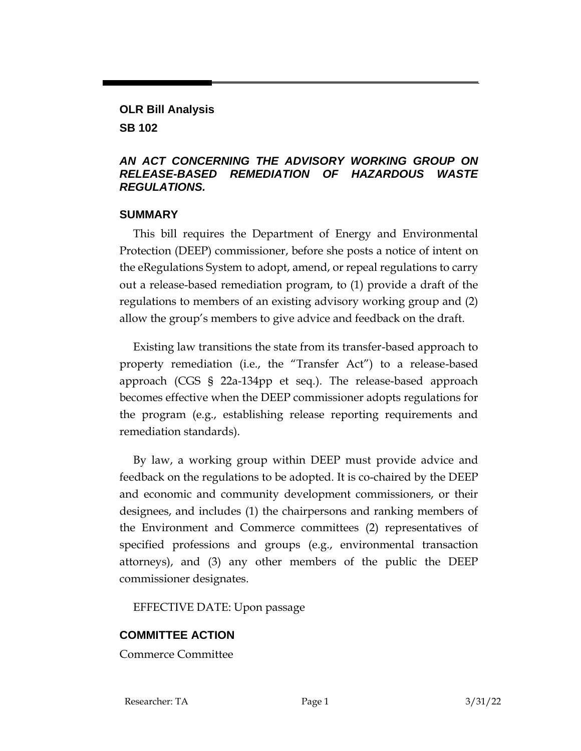## **OLR Bill Analysis**

**SB 102**

## *AN ACT CONCERNING THE ADVISORY WORKING GROUP ON RELEASE-BASED REMEDIATION OF HAZARDOUS WASTE REGULATIONS.*

## **SUMMARY**

This bill requires the Department of Energy and Environmental Protection (DEEP) commissioner, before she posts a notice of intent on the eRegulations System to adopt, amend, or repeal regulations to carry out a release-based remediation program, to (1) provide a draft of the regulations to members of an existing advisory working group and (2) allow the group's members to give advice and feedback on the draft.

Existing law transitions the state from its transfer-based approach to property remediation (i.e., the "Transfer Act") to a release-based approach (CGS § 22a-134pp et seq.). The release-based approach becomes effective when the DEEP commissioner adopts regulations for the program (e.g., establishing release reporting requirements and remediation standards).

By law, a working group within DEEP must provide advice and feedback on the regulations to be adopted. It is co-chaired by the DEEP and economic and community development commissioners, or their designees, and includes (1) the chairpersons and ranking members of the Environment and Commerce committees (2) representatives of specified professions and groups (e.g., environmental transaction attorneys), and (3) any other members of the public the DEEP commissioner designates.

EFFECTIVE DATE: Upon passage

## **COMMITTEE ACTION**

Commerce Committee